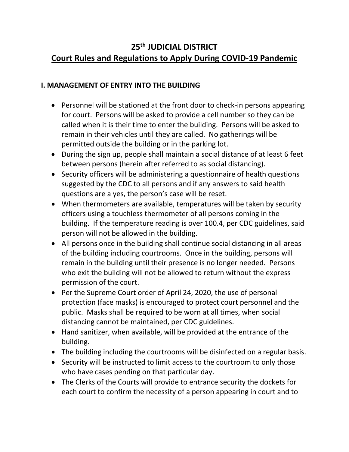## **25th JUDICIAL DISTRICT Court Rules and Regulations to Apply During COVID-19 Pandemic**

## **I. MANAGEMENT OF ENTRY INTO THE BUILDING**

- Personnel will be stationed at the front door to check-in persons appearing for court. Persons will be asked to provide a cell number so they can be called when it is their time to enter the building. Persons will be asked to remain in their vehicles until they are called. No gatherings will be permitted outside the building or in the parking lot.
- During the sign up, people shall maintain a social distance of at least 6 feet between persons (herein after referred to as social distancing).
- Security officers will be administering a questionnaire of health questions suggested by the CDC to all persons and if any answers to said health questions are a yes, the person's case will be reset.
- When thermometers are available, temperatures will be taken by security officers using a touchless thermometer of all persons coming in the building. If the temperature reading is over 100.4, per CDC guidelines, said person will not be allowed in the building.
- All persons once in the building shall continue social distancing in all areas of the building including courtrooms. Once in the building, persons will remain in the building until their presence is no longer needed. Persons who exit the building will not be allowed to return without the express permission of the court.
- Per the Supreme Court order of April 24, 2020, the use of personal protection (face masks) is encouraged to protect court personnel and the public. Masks shall be required to be worn at all times, when social distancing cannot be maintained, per CDC guidelines.
- Hand sanitizer, when available, will be provided at the entrance of the building.
- The building including the courtrooms will be disinfected on a regular basis.
- Security will be instructed to limit access to the courtroom to only those who have cases pending on that particular day.
- The Clerks of the Courts will provide to entrance security the dockets for each court to confirm the necessity of a person appearing in court and to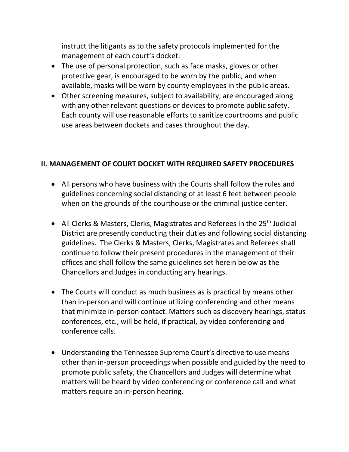instruct the litigants as to the safety protocols implemented for the management of each court's docket.

- The use of personal protection, such as face masks, gloves or other protective gear, is encouraged to be worn by the public, and when available, masks will be worn by county employees in the public areas.
- Other screening measures, subject to availability, are encouraged along with any other relevant questions or devices to promote public safety. Each county will use reasonable efforts to sanitize courtrooms and public use areas between dockets and cases throughout the day.

## **II. MANAGEMENT OF COURT DOCKET WITH REQUIRED SAFETY PROCEDURES**

- All persons who have business with the Courts shall follow the rules and guidelines concerning social distancing of at least 6 feet between people when on the grounds of the courthouse or the criminal justice center.
- All Clerks & Masters, Clerks, Magistrates and Referees in the 25<sup>th</sup> Judicial District are presently conducting their duties and following social distancing guidelines. The Clerks & Masters, Clerks, Magistrates and Referees shall continue to follow their present procedures in the management of their offices and shall follow the same guidelines set herein below as the Chancellors and Judges in conducting any hearings.
- The Courts will conduct as much business as is practical by means other than in-person and will continue utilizing conferencing and other means that minimize in-person contact. Matters such as discovery hearings, status conferences, etc., will be held, if practical, by video conferencing and conference calls.
- Understanding the Tennessee Supreme Court's directive to use means other than in-person proceedings when possible and guided by the need to promote public safety, the Chancellors and Judges will determine what matters will be heard by video conferencing or conference call and what matters require an in-person hearing.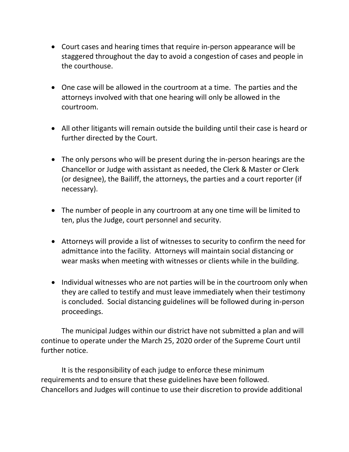- Court cases and hearing times that require in-person appearance will be staggered throughout the day to avoid a congestion of cases and people in the courthouse.
- One case will be allowed in the courtroom at a time. The parties and the attorneys involved with that one hearing will only be allowed in the courtroom.
- All other litigants will remain outside the building until their case is heard or further directed by the Court.
- The only persons who will be present during the in-person hearings are the Chancellor or Judge with assistant as needed, the Clerk & Master or Clerk (or designee), the Bailiff, the attorneys, the parties and a court reporter (if necessary).
- The number of people in any courtroom at any one time will be limited to ten, plus the Judge, court personnel and security.
- Attorneys will provide a list of witnesses to security to confirm the need for admittance into the facility. Attorneys will maintain social distancing or wear masks when meeting with witnesses or clients while in the building.
- Individual witnesses who are not parties will be in the courtroom only when they are called to testify and must leave immediately when their testimony is concluded. Social distancing guidelines will be followed during in-person proceedings.

The municipal Judges within our district have not submitted a plan and will continue to operate under the March 25, 2020 order of the Supreme Court until further notice.

It is the responsibility of each judge to enforce these minimum requirements and to ensure that these guidelines have been followed. Chancellors and Judges will continue to use their discretion to provide additional